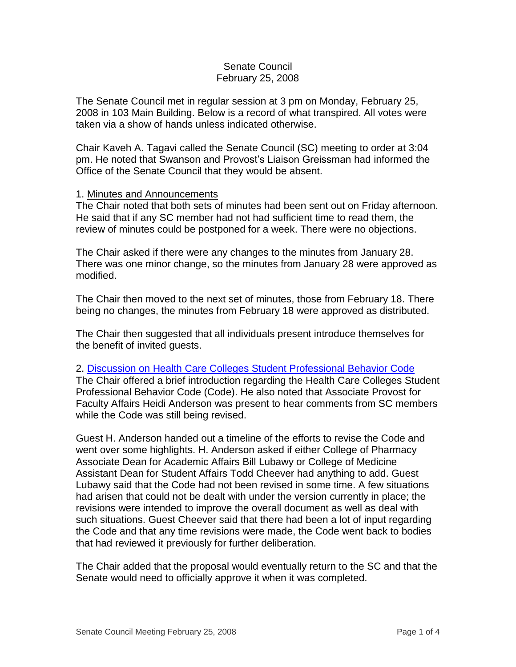## Senate Council February 25, 2008

The Senate Council met in regular session at 3 pm on Monday, February 25, 2008 in 103 Main Building. Below is a record of what transpired. All votes were taken via a show of hands unless indicated otherwise.

Chair Kaveh A. Tagavi called the Senate Council (SC) meeting to order at 3:04 pm. He noted that Swanson and Provost's Liaison Greissman had informed the Office of the Senate Council that they would be absent.

### 1. Minutes and Announcements

The Chair noted that both sets of minutes had been sent out on Friday afternoon. He said that if any SC member had not had sufficient time to read them, the review of minutes could be postponed for a week. There were no objections.

The Chair asked if there were any changes to the minutes from January 28. There was one minor change, so the minutes from January 28 were approved as modified.

The Chair then moved to the next set of minutes, those from February 18. There being no changes, the minutes from February 18 were approved as distributed.

The Chair then suggested that all individuals present introduce themselves for the benefit of invited guests.

### 2. [Discussion on Health Care Colleges Student Professional Behavior Code](http://www.uky.edu/USC/New/files/20080225/HCC%20Student%20Profess%20Bhvr%20Code.pdf)

The Chair offered a brief introduction regarding the Health Care Colleges Student Professional Behavior Code (Code). He also noted that Associate Provost for Faculty Affairs Heidi Anderson was present to hear comments from SC members while the Code was still being revised.

Guest H. Anderson handed out a timeline of the efforts to revise the Code and went over some highlights. H. Anderson asked if either College of Pharmacy Associate Dean for Academic Affairs Bill Lubawy or College of Medicine Assistant Dean for Student Affairs Todd Cheever had anything to add. Guest Lubawy said that the Code had not been revised in some time. A few situations had arisen that could not be dealt with under the version currently in place; the revisions were intended to improve the overall document as well as deal with such situations. Guest Cheever said that there had been a lot of input regarding the Code and that any time revisions were made, the Code went back to bodies that had reviewed it previously for further deliberation.

The Chair added that the proposal would eventually return to the SC and that the Senate would need to officially approve it when it was completed.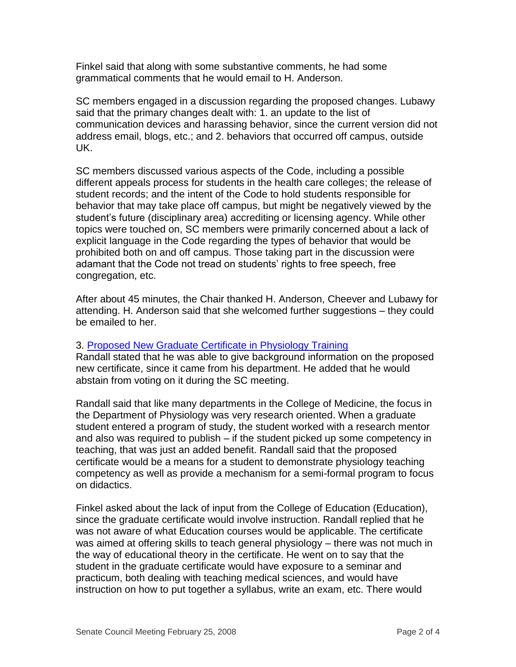Finkel said that along with some substantive comments, he had some grammatical comments that he would email to H. Anderson.

SC members engaged in a discussion regarding the proposed changes. Lubawy said that the primary changes dealt with: 1. an update to the list of communication devices and harassing behavior, since the current version did not address email, blogs, etc.; and 2. behaviors that occurred off campus, outside UK.

SC members discussed various aspects of the Code, including a possible different appeals process for students in the health care colleges; the release of student records; and the intent of the Code to hold students responsible for behavior that may take place off campus, but might be negatively viewed by the student's future (disciplinary area) accrediting or licensing agency. While other topics were touched on, SC members were primarily concerned about a lack of explicit language in the Code regarding the types of behavior that would be prohibited both on and off campus. Those taking part in the discussion were adamant that the Code not tread on students' rights to free speech, free congregation, etc.

After about 45 minutes, the Chair thanked H. Anderson, Cheever and Lubawy for attending. H. Anderson said that she welcomed further suggestions – they could be emailed to her.

# 3. [Proposed New Graduate Certificate in Physiology Training](http://www.uky.edu/USC/New/files/20080225/Grad%20Cert%20Physiology%20Teaching%20-%20New%20Grad%20Cert.pdf)

Randall stated that he was able to give background information on the proposed new certificate, since it came from his department. He added that he would abstain from voting on it during the SC meeting.

Randall said that like many departments in the College of Medicine, the focus in the Department of Physiology was very research oriented. When a graduate student entered a program of study, the student worked with a research mentor and also was required to publish – if the student picked up some competency in teaching, that was just an added benefit. Randall said that the proposed certificate would be a means for a student to demonstrate physiology teaching competency as well as provide a mechanism for a semi-formal program to focus on didactics.

Finkel asked about the lack of input from the College of Education (Education), since the graduate certificate would involve instruction. Randall replied that he was not aware of what Education courses would be applicable. The certificate was aimed at offering skills to teach general physiology – there was not much in the way of educational theory in the certificate. He went on to say that the student in the graduate certificate would have exposure to a seminar and practicum, both dealing with teaching medical sciences, and would have instruction on how to put together a syllabus, write an exam, etc. There would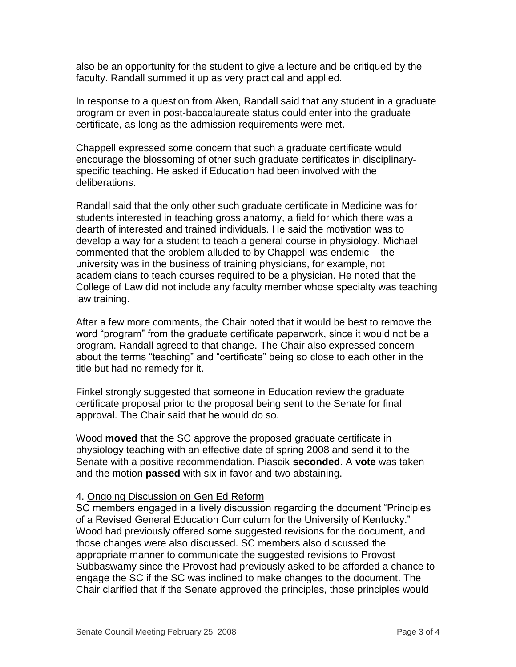also be an opportunity for the student to give a lecture and be critiqued by the faculty. Randall summed it up as very practical and applied.

In response to a question from Aken, Randall said that any student in a graduate program or even in post-baccalaureate status could enter into the graduate certificate, as long as the admission requirements were met.

Chappell expressed some concern that such a graduate certificate would encourage the blossoming of other such graduate certificates in disciplinaryspecific teaching. He asked if Education had been involved with the deliberations.

Randall said that the only other such graduate certificate in Medicine was for students interested in teaching gross anatomy, a field for which there was a dearth of interested and trained individuals. He said the motivation was to develop a way for a student to teach a general course in physiology. Michael commented that the problem alluded to by Chappell was endemic – the university was in the business of training physicians, for example, not academicians to teach courses required to be a physician. He noted that the College of Law did not include any faculty member whose specialty was teaching law training.

After a few more comments, the Chair noted that it would be best to remove the word "program" from the graduate certificate paperwork, since it would not be a program. Randall agreed to that change. The Chair also expressed concern about the terms "teaching" and "certificate" being so close to each other in the title but had no remedy for it.

Finkel strongly suggested that someone in Education review the graduate certificate proposal prior to the proposal being sent to the Senate for final approval. The Chair said that he would do so.

Wood **moved** that the SC approve the proposed graduate certificate in physiology teaching with an effective date of spring 2008 and send it to the Senate with a positive recommendation. Piascik **seconded**. A **vote** was taken and the motion **passed** with six in favor and two abstaining.

### 4. Ongoing Discussion on Gen Ed Reform

SC members engaged in a lively discussion regarding the document "Principles of a Revised General Education Curriculum for the University of Kentucky." Wood had previously offered some suggested revisions for the document, and those changes were also discussed. SC members also discussed the appropriate manner to communicate the suggested revisions to Provost Subbaswamy since the Provost had previously asked to be afforded a chance to engage the SC if the SC was inclined to make changes to the document. The Chair clarified that if the Senate approved the principles, those principles would